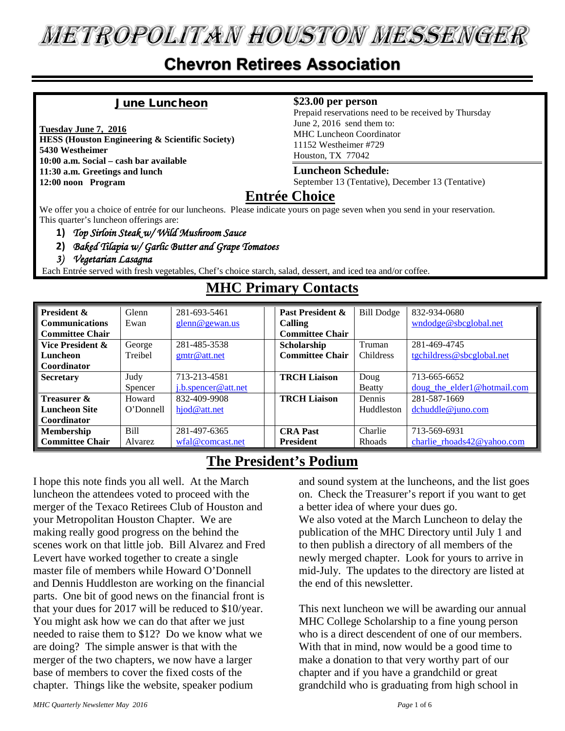# **METROPOLITAN HOUSTON MESSENGER**

### **Chevron Retirees Association**

#### June Luncheon

**Tuesday June 7, 2016 HESS (Houston Engineering & Scientific Society) 5430 Westheimer 10:00 a.m. Social – cash bar available 11:30 a.m. Greetings and lunch 12:00 noon Program**

#### **\$23.00 per person**

Prepaid reservations need to be received by Thursday June 2, 2016 send them to: MHC Luncheon Coordinator 11152 Westheimer #729 Houston, TX 77042

#### **Luncheon Schedule:**

September 13 (Tentative), December 13 (Tentative)

#### **Entrée Choice**

We offer you a choice of entrée for our luncheons. Please indicate yours on page seven when you send in your reservation. This quarter's luncheon offerings are:

- **1)** *Top Sirloin Steak w/ Wild Mushroom Sauce*
- **2)** *Baked Tilapia w/ Garlic Butter and Grape Tomatoes*
- *3) Vegetarian Lasagna*

Each Entrée served with fresh vegetables, Chef's choice starch, salad, dessert, and iced tea and/or coffee.

| <b>President &amp;</b> | Glenn     | 281-693-5461            | Past President &       | <b>Bill Dodge</b> | 832-934-0680                   |
|------------------------|-----------|-------------------------|------------------------|-------------------|--------------------------------|
| <b>Communications</b>  | Ewan      | $\text{glenn@gewan.us}$ | Calling                |                   | wndodge@sbcglobal.net          |
| <b>Committee Chair</b> |           |                         | <b>Committee Chair</b> |                   |                                |
| Vice President &       | George    | 281-485-3538            | Scholarship            | Truman            | 281-469-4745                   |
| Luncheon               | Treibel   | g mtr@attnet            | <b>Committee Chair</b> | <b>Childress</b>  | tgchildress@sbcglobal.net      |
| Coordinator            |           |                         |                        |                   |                                |
| <b>Secretary</b>       | Judy      | 713-213-4581            | <b>TRCH Liaison</b>    | Doug              | 713-665-6652                   |
|                        | Spencer   | j.b.spencer@att.net     |                        | Beatty            | doug the elder1@hotmail.com    |
| Treasurer &            | Howard    | 832-409-9908            | <b>TRCH Liaison</b>    | Dennis            | 281-587-1669                   |
| <b>Luncheon Site</b>   | O'Donnell | hjod@att.net            |                        | Huddleston        | $d$ chuddle@juno.com           |
| Coordinator            |           |                         |                        |                   |                                |
| <b>Membership</b>      | Bill      | 281-497-6365            | <b>CRA Past</b>        | Charlie           | 713-569-6931                   |
| <b>Committee Chair</b> | Alvarez   | wfal@comcast.net        | <b>President</b>       | <b>Rhoads</b>     | charlie rhoads $42@$ vahoo.com |

#### **MHC Primary Contacts**

#### **The President's Podium**

I hope this note finds you all well. At the March luncheon the attendees voted to proceed with the merger of the Texaco Retirees Club of Houston and your Metropolitan Houston Chapter. We are making really good progress on the behind the scenes work on that little job. Bill Alvarez and Fred Levert have worked together to create a single master file of members while Howard O'Donnell and Dennis Huddleston are working on the financial parts. One bit of good news on the financial front is that your dues for 2017 will be reduced to \$10/year. You might ask how we can do that after we just needed to raise them to \$12? Do we know what we are doing? The simple answer is that with the merger of the two chapters, we now have a larger base of members to cover the fixed costs of the chapter. Things like the website, speaker podium

and sound system at the luncheons, and the list goes on. Check the Treasurer's report if you want to get a better idea of where your dues go.

We also voted at the March Luncheon to delay the publication of the MHC Directory until July 1 and to then publish a directory of all members of the newly merged chapter. Look for yours to arrive in mid-July. The updates to the directory are listed at the end of this newsletter.

This next luncheon we will be awarding our annual MHC College Scholarship to a fine young person who is a direct descendent of one of our members. With that in mind, now would be a good time to make a donation to that very worthy part of our chapter and if you have a grandchild or great grandchild who is graduating from high school in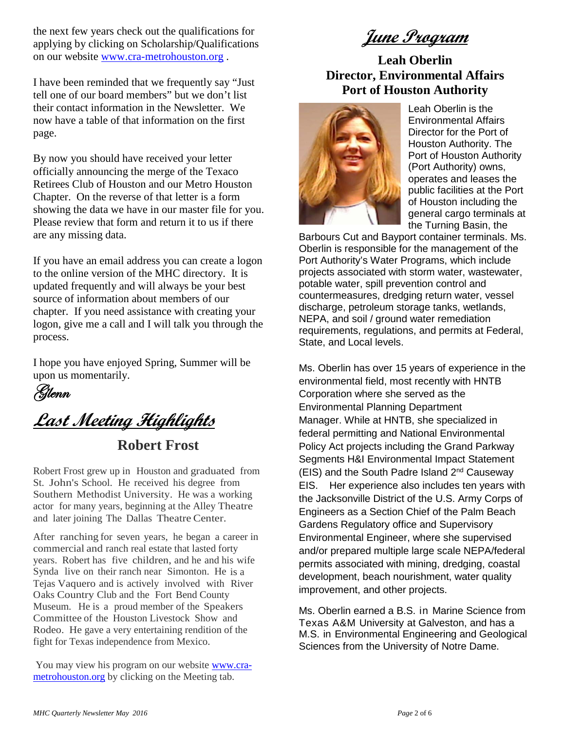the next few years check out the qualifications for applying by clicking on Scholarship/Qualifications on our website [www.cra-metrohouston.org](http://www.cra-metrohouston.org/) .

I have been reminded that we frequently say "Just tell one of our board members" but we don't list their contact information in the Newsletter. We now have a table of that information on the first page.

By now you should have received your letter officially announcing the merge of the Texaco Retirees Club of Houston and our Metro Houston Chapter. On the reverse of that letter is a form showing the data we have in our master file for you. Please review that form and return it to us if there are any missing data.

If you have an email address you can create a logon to the online version of the MHC directory. It is updated frequently and will always be your best source of information about members of our chapter. If you need assistance with creating your logon, give me a call and I will talk you through the process.

I hope you have enjoyed Spring, Summer will be upon us momentarily.

Glenn

**Last Meeting Highlights**

**Robert Frost**

Robert Frost grew up in Houston and graduated from St. John's School. He received his degree from Southern Methodist University. He was a working actor for many years, beginning at the Alley Theatre and later joining The Dallas Theatre Center.

After ranching for seven years, he began a career in commercial and ranch real estate that lasted forty years. Robert has five children, and he and his wife Synda live on their ranch near Simonton. He is a Tejas Vaquero and is actively involved with River Oaks Country Club and the Fort Bend County Museum. He is a proud member of the Speakers Committee of the Houston Livestock Show and Rodeo. He gave a very entertaining rendition of the fight for Texas independence from Mexico.

You may view his program on our website **www.cra**[metrohouston.org](http://www.cra-metrohouston.org/) by clicking on the Meeting tab.

**June Program**

#### **Leah Oberlin Director, Environmental Affairs Port of Houston Authority**



Leah Oberlin is the Environmental Affairs Director for the Port of Houston Authority. The Port of Houston Authority (Port Authority) owns, operates and leases the public facilities at the Port of Houston including the general cargo terminals at the Turning Basin, the

Barbours Cut and Bayport container terminals. Ms. Oberlin is responsible for the management of the Port Authority's Water Programs, which include projects associated with storm water, wastewater, potable water, spill prevention control and countermeasures, dredging return water, vessel discharge, petroleum storage tanks, wetlands, NEPA, and soil / ground water remediation requirements, regulations, and permits at Federal, State, and Local levels.

Ms. Oberlin has over 15 years of experience in the environmental field, most recently with HNTB Corporation where she served as the Environmental Planning Department Manager. While at HNTB, she specialized in federal permitting and National Environmental Policy Act projects including the Grand Parkway Segments H&I Environmental Impact Statement  $(EIS)$  and the South Padre Island  $2<sup>nd</sup>$  Causeway EIS. Her experience also includes ten years with the Jacksonville District of the U.S. Army Corps of Engineers as a Section Chief of the Palm Beach Gardens Regulatory office and Supervisory Environmental Engineer, where she supervised and/or prepared multiple large scale NEPA/federal permits associated with mining, dredging, coastal development, beach nourishment, water quality improvement, and other projects.

Ms. Oberlin earned a B.S. in Marine Science from Texas A&M University at Galveston, and has a M.S. in Environmental Engineering and Geological Sciences from the University of Notre Dame.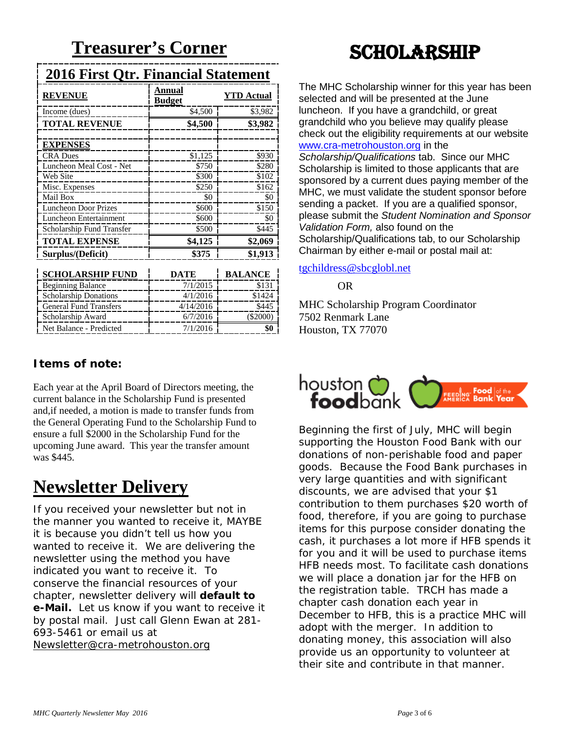### **2016 First Qtr. Financial Statement**

| <b>REVENUE</b>                | Annual<br><u>Budget</u> | <b>YTD</b> Actual |
|-------------------------------|-------------------------|-------------------|
| Income (dues)                 | \$4,500                 | \$3,982           |
| <b>TOTAL REVENUE</b>          | \$4,500                 | \$3,982           |
|                               |                         |                   |
| <b>EXPENSES</b>               |                         |                   |
| <b>CRA Dues</b>               | \$1,125                 | \$930             |
| Luncheon Meal Cost - Net      | \$750                   | \$280             |
| Web Site                      | \$300                   | \$102             |
| Misc. Expenses                | \$250                   | \$162             |
| Mail Box                      | \$0                     | \$0               |
| <b>Luncheon Door Prizes</b>   | \$600                   | \$150             |
| Luncheon Entertainment        | \$600                   | \$0               |
| Scholarship Fund Transfer     | \$500                   | \$445             |
| <b>TOTAL EXPENSE</b>          | \$4,125                 | \$2,069           |
| Surplus/(Deficit)             | \$375                   | \$1,913           |
| <b>SCHOLARSHIP FUND</b>       | DATE                    | <b>BALANCE</b>    |
| <b>Beginning Balance</b>      | 7/1/2015                | \$131             |
| <b>Scholarship Donations</b>  | 4/1/2016                | \$1424            |
| <b>General Fund Transfers</b> | 4/14/2016               | \$445             |
| Scholarship Award             | 6/7/2016                | $(\$2000)$        |
| Net Balance - Predicted       | 7/1/2016                | \$0               |

#### **Items of note:**

Each year at the April Board of Directors meeting, the current balance in the Scholarship Fund is presented and,if needed, a motion is made to transfer funds from the General Operating Fund to the Scholarship Fund to ensure a full \$2000 in the Scholarship Fund for the upcoming June award. This year the transfer amount was \$445.

# **Newsletter Delivery**

If you received your newsletter but not in the manner you wanted to receive it, MAYBE it is because you didn't tell us how you wanted to receive it. We are delivering the newsletter using the method you have indicated you want to receive it. To conserve the financial resources of your chapter, newsletter delivery will **default to e-Mail.** Let us know if you want to receive it by postal mail. Just call Glenn Ewan at 281- 693-5461 or email us at [Newsletter@cra-metrohouston.org](mailto:Newsletter@cra-metrohouston.org)

# **SCHOLARSHIP**

The MHC Scholarship winner for this year has been selected and will be presented at the June luncheon. If you have a grandchild, or great grandchild who you believe may qualify please check out the eligibility requirements at our website [www.cra-metrohouston.org](http://www.cra-metrohouston.org/) in the *Scholarship/Qualifications* tab. Since our MHC Scholarship is limited to those applicants that are sponsored by a current dues paying member of the MHC, we must validate the student sponsor before sending a packet. If you are a qualified sponsor, please submit the *Student Nomination and Sponsor Validation Form,* also found on the Scholarship/Qualifications tab, to our Scholarship Chairman by either e-mail or postal mail at:

#### [tgchildress@sbcglobl.net](mailto:tgchildress@sbcglobl.net)

OR

MHC Scholarship Program Coordinator 7502 Renmark Lane Houston, TX 77070



Beginning the first of July, MHC will begin supporting the Houston Food Bank with our donations of non-perishable food and paper goods. Because the Food Bank purchases in very large quantities and with significant discounts, we are advised that your \$1 contribution to them purchases \$20 worth of food, therefore, if you are going to purchase items for this purpose consider donating the cash, it purchases a lot more if HFB spends it for you and it will be used to purchase items HFB needs most. To facilitate cash donations we will place a donation jar for the HFB on the registration table. TRCH has made a chapter cash donation each year in December to HFB, this is a practice MHC will adopt with the merger. In addition to donating money, this association will also provide us an opportunity to volunteer at their site and contribute in that manner.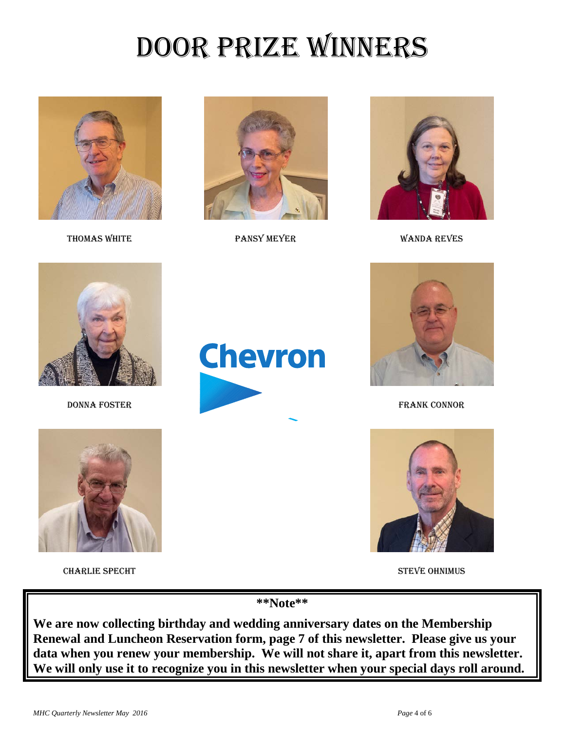# Door Prize Winners





THOMAS WHITE **PANSY MEYER** PANSY MEYER WANDA REVES







CHARLIE SPECHT STEVE OHNIMUS





DONNA FOSTER FRANK CONNOR



**\*\*Note\*\***

**We are now collecting birthday and wedding anniversary dates on the Membership Renewal and Luncheon Reservation form, page 7 of this newsletter. Please give us your data when you renew your membership. We will not share it, apart from this newsletter. We will only use it to recognize you in this newsletter when your special days roll around.**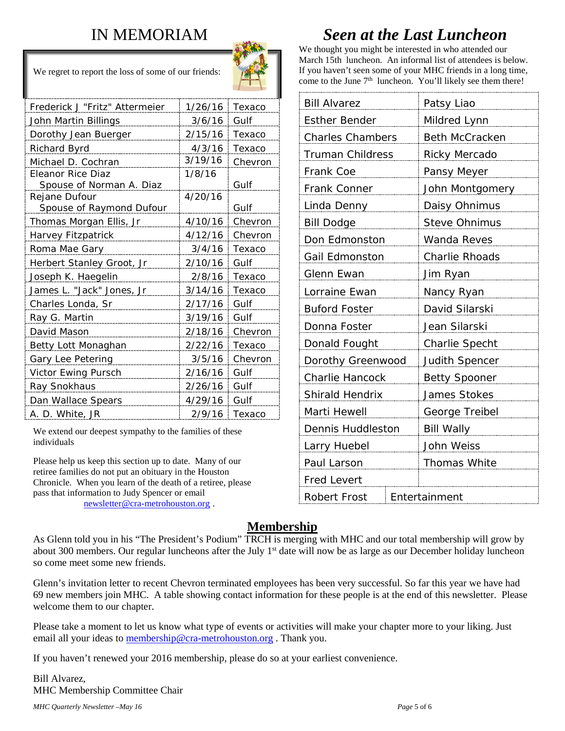### IN MEMORIAM



We regret to report the loss of some of our friends:

| Frederick J "Fritz" Attermeier | 1/26/16 | Texaco  |
|--------------------------------|---------|---------|
| John Martin Billings           | 3/6/16  | Gulf    |
| Dorothy Jean Buerger           | 2/15/16 | Texaco  |
| <b>Richard Byrd</b>            | 4/3/16  | Texaco  |
| Michael D. Cochran             | 3/19/16 | Chevron |
| Eleanor Rice Diaz              | 1/8/16  |         |
| Spouse of Norman A. Diaz       |         | Gulf    |
| Rejane Dufour                  | 4/20/16 |         |
| Spouse of Raymond Dufour       |         | Gulf    |
| Thomas Morgan Ellis, Jr        | 4/10/16 | Chevron |
| Harvey Fitzpatrick             | 4/12/16 | Chevron |
| Roma Mae Gary                  | 3/4/16  | Texaco  |
| Herbert Stanley Groot, Jr      | 2/10/16 | Gulf    |
| Joseph K. Haegelin             | 2/8/16  | Texaco  |
| James L. "Jack" Jones, Jr      | 3/14/16 | Texaco  |
| Charles Londa, Sr              | 2/17/16 | Gulf    |
| Ray G. Martin                  | 3/19/16 | Gulf    |
| David Mason                    | 2/18/16 | Chevron |
| Betty Lott Monaghan            | 2/22/16 | Texaco  |
| Gary Lee Petering              | 3/5/16  | Chevron |
| Victor Ewing Pursch            | 2/16/16 | Gulf    |
| Ray Snokhaus                   | 2/26/16 | Gulf    |
| Dan Wallace Spears             | 4/29/16 | Gulf    |
| A. D. White, JR                | 2/9/16  | Texaco  |

We extend our deepest sympathy to the families of these individuals

Please help us keep this section up to date. Many of our retiree families do not put an obituary in the Houston Chronicle. When you learn of the death of a retiree, please pass that information to Judy Spencer or email [newsletter@cra-metrohouston.org](mailto:newsletter@cra-metrohouston.org) .

## *Seen at the Last Luncheon*

We thought you might be interested in who attended our March 15th luncheon. An informal list of attendees is below. If you haven't seen some of your MHC friends in a long time, come to the June 7<sup>th</sup> luncheon. You'll likely see them there!

| <b>Bill Alvarez</b>     |               | Patsy Liao            |  |  |
|-------------------------|---------------|-----------------------|--|--|
| <b>Esther Bender</b>    |               | Mildred Lynn          |  |  |
| <b>Charles Chambers</b> |               | <b>Beth McCracken</b> |  |  |
| <b>Truman Childress</b> |               | Ricky Mercado         |  |  |
| Frank Coe               |               | Pansy Meyer           |  |  |
| Frank Conner            |               | John Montgomery       |  |  |
| Linda Denny             |               | Daisy Ohnimus         |  |  |
| <b>Bill Dodge</b>       |               | <b>Steve Ohnimus</b>  |  |  |
| Don Edmonston           |               | Wanda Reves           |  |  |
| Gail Edmonston          |               | Charlie Rhoads        |  |  |
| Glenn Ewan              |               | Jim Ryan              |  |  |
| Lorraine Ewan           |               | Nancy Ryan            |  |  |
| <b>Buford Foster</b>    |               | David Silarski        |  |  |
| Donna Foster            |               | Jean Silarski         |  |  |
| Donald Fought           |               | <b>Charlie Specht</b> |  |  |
| Dorothy Greenwood       |               | <b>Judith Spencer</b> |  |  |
| Charlie Hancock         |               | <b>Betty Spooner</b>  |  |  |
| Shirald Hendrix         |               | James Stokes          |  |  |
| Marti Hewell            |               | George Treibel        |  |  |
| Dennis Huddleston       |               | <b>Bill Wally</b>     |  |  |
| Larry Huebel            |               | John Weiss            |  |  |
| Paul Larson             |               | <b>Thomas White</b>   |  |  |
| <b>Fred Levert</b>      |               |                       |  |  |
| <b>Robert Frost</b>     | Entertainment |                       |  |  |

#### **Membership**

As Glenn told you in his "The President's Podium" TRCH is merging with MHC and our total membership will grow by about 300 members. Our regular luncheons after the July  $1<sup>st</sup>$  date will now be as large as our December holiday luncheon so come meet some new friends.

Glenn's invitation letter to recent Chevron terminated employees has been very successful. So far this year we have had 69 new members join MHC. A table showing contact information for these people is at the end of this newsletter. Please welcome them to our chapter.

Please take a moment to let us know what type of events or activities will make your chapter more to your liking. Just email all your ideas to [membership@cra-metrohouston.org](mailto:membership@cra-metrohouston.org). Thank you.

If you haven't renewed your 2016 membership, please do so at your earliest convenience.

Bill Alvarez, MHC Membership Committee Chair